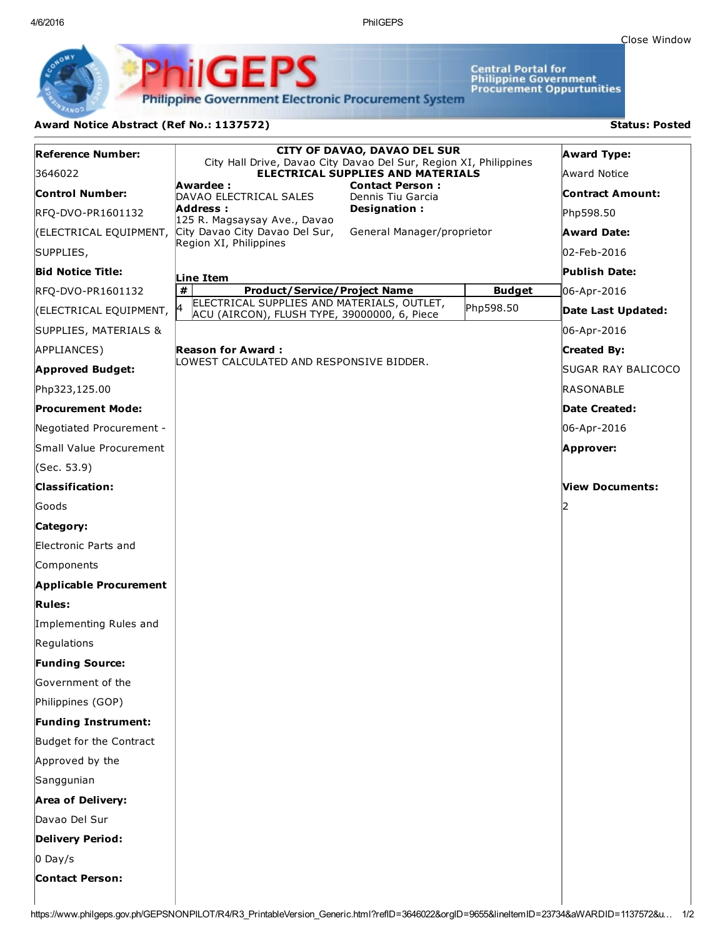4/6/2016 PhilGEPS

Central Portal for<br>Philippine Government<br>Procurement Oppurtunities

**Philippine Government Electronic Procurement System** 

PhilGEPS

## Award Notice Abstract (Ref No.: 1137572) Status: Posted

| <b>Reference Number:</b>      |                                                                                                               | <b>CITY OF DAVAO, DAVAO DEL SUR</b>         |               | <b>Award Type:</b>      |
|-------------------------------|---------------------------------------------------------------------------------------------------------------|---------------------------------------------|---------------|-------------------------|
| 3646022                       | City Hall Drive, Davao City Davao Del Sur, Region XI, Philippines<br><b>ELECTRICAL SUPPLIES AND MATERIALS</b> |                                             |               | Award Notice            |
| <b>Control Number:</b>        | Awardee :<br>DAVAO ELECTRICAL SALES                                                                           | <b>Contact Person:</b><br>Dennis Tiu Garcia |               | <b>Contract Amount:</b> |
| RFQ-DVO-PR1601132             | Address :<br>125 R. Magsaysay Ave., Davao                                                                     | Designation:                                |               | Php598.50               |
| (ELECTRICAL EQUIPMENT,        | City Davao City Davao Del Sur,<br>General Manager/proprietor                                                  |                                             |               | <b>Award Date:</b>      |
| SUPPLIES,                     | Region XI, Philippines                                                                                        |                                             |               | 02-Feb-2016             |
| <b>Bid Notice Title:</b>      | Line Item                                                                                                     |                                             |               | <b>Publish Date:</b>    |
| RFQ-DVO-PR1601132             | #<br><b>Product/Service/Project Name</b>                                                                      |                                             | <b>Budget</b> | 06-Apr-2016             |
| (ELECTRICAL EQUIPMENT,        | ELECTRICAL SUPPLIES AND MATERIALS, OUTLET,<br>l4<br>ACU (AIRCON), FLUSH TYPE, 39000000, 6, Piece              |                                             | Php598.50     | Date Last Updated:      |
| SUPPLIES, MATERIALS &         |                                                                                                               |                                             |               | 06-Apr-2016             |
| APPLIANCES)                   | Reason for Award :                                                                                            |                                             |               | <b>Created By:</b>      |
| <b>Approved Budget:</b>       | LOWEST CALCULATED AND RESPONSIVE BIDDER.                                                                      |                                             |               | SUGAR RAY BALICOCO      |
| Php323,125.00                 |                                                                                                               |                                             |               | RASONABLE               |
| <b>Procurement Mode:</b>      |                                                                                                               |                                             |               | Date Created:           |
| Negotiated Procurement -      |                                                                                                               |                                             |               | 06-Apr-2016             |
| Small Value Procurement       |                                                                                                               |                                             |               | Approver:               |
| (Sec. 53.9)                   |                                                                                                               |                                             |               |                         |
| <b>Classification:</b>        |                                                                                                               |                                             |               | View Documents:         |
| Goods                         |                                                                                                               |                                             |               | 12                      |
| Category:                     |                                                                                                               |                                             |               |                         |
| Electronic Parts and          |                                                                                                               |                                             |               |                         |
| Components                    |                                                                                                               |                                             |               |                         |
| <b>Applicable Procurement</b> |                                                                                                               |                                             |               |                         |
| <b>Rules:</b>                 |                                                                                                               |                                             |               |                         |
| Implementing Rules and        |                                                                                                               |                                             |               |                         |
| Regulations                   |                                                                                                               |                                             |               |                         |
| <b>Funding Source:</b>        |                                                                                                               |                                             |               |                         |
| Government of the             |                                                                                                               |                                             |               |                         |
| Philippines (GOP)             |                                                                                                               |                                             |               |                         |
| <b>Funding Instrument:</b>    |                                                                                                               |                                             |               |                         |
| Budget for the Contract       |                                                                                                               |                                             |               |                         |
| Approved by the               |                                                                                                               |                                             |               |                         |
| Sanggunian                    |                                                                                                               |                                             |               |                         |
| <b>Area of Delivery:</b>      |                                                                                                               |                                             |               |                         |
| Davao Del Sur                 |                                                                                                               |                                             |               |                         |
| <b>Delivery Period:</b>       |                                                                                                               |                                             |               |                         |
| $0$ Day/s                     |                                                                                                               |                                             |               |                         |
| <b>Contact Person:</b>        |                                                                                                               |                                             |               |                         |
|                               |                                                                                                               |                                             |               |                         |